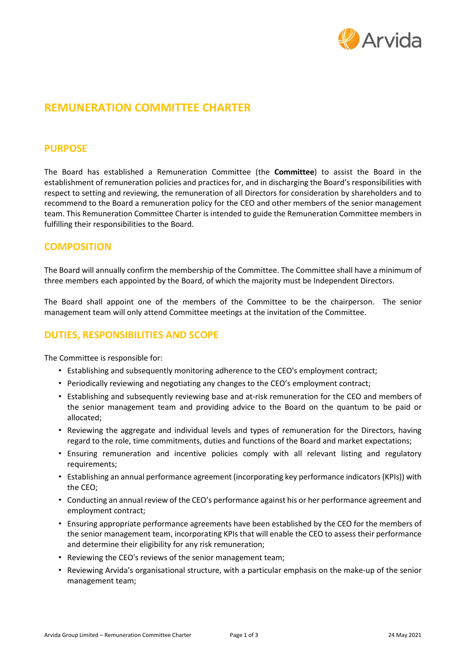

# **REMUNERATION COMMITTEE CHARTER**

## **PURPOSE**

The Board has established a Remuneration Committee (the **Committee**) to assist the Board in the establishment of remuneration policies and practices for, and in discharging the Board's responsibilities with respect to setting and reviewing, the remuneration of all Directors for consideration by shareholders and to recommend to the Board a remuneration policy for the CEO and other members of the senior management team. This Remuneration Committee Charter is intended to guide the Remuneration Committee members in fulfilling their responsibilities to the Board.

# **COMPOSITION**

The Board will annually confirm the membership of the Committee. The Committee shall have a minimum of three members each appointed by the Board, of which the majority must be Independent Directors.

The Board shall appoint one of the members of the Committee to be the chairperson. The senior management team will only attend Committee meetings at the invitation of the Committee.

# **DUTIES, RESPONSIBILITIES AND SCOPE**

The Committee is responsible for:

- Establishing and subsequently monitoring adherence to the CEO's employment contract;
- Periodically reviewing and negotiating any changes to the CEO's employment contract;
- Establishing and subsequently reviewing base and at-risk remuneration for the CEO and members of the senior management team and providing advice to the Board on the quantum to be paid or allocated;
- Reviewing the aggregate and individual levels and types of remuneration for the Directors, having regard to the role, time commitments, duties and functions of the Board and market expectations;
- Ensuring remuneration and incentive policies comply with all relevant listing and regulatory requirements;
- Establishing an annual performance agreement (incorporating key performance indicators (KPIs)) with the CEO;
- Conducting an annual review of the CEO's performance against his or her performance agreement and employment contract;
- Ensuring appropriate performance agreements have been established by the CEO for the members of the senior management team, incorporating KPIs that will enable the CEO to assess their performance and determine their eligibility for any risk remuneration;
- Reviewing the CEO's reviews of the senior management team;
- Reviewing Arvida's organisational structure, with a particular emphasis on the make-up of the senior management team;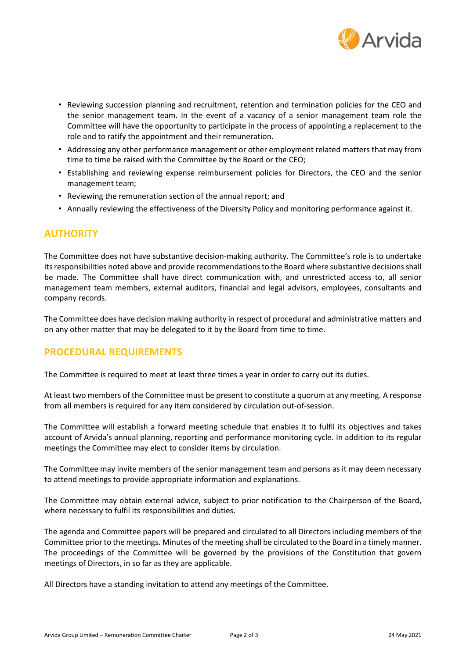

- Reviewing succession planning and recruitment, retention and termination policies for the CEO and the senior management team. In the event of a vacancy of a senior management team role the Committee will have the opportunity to participate in the process of appointing a replacement to the role and to ratify the appointment and their remuneration.
- Addressing any other performance management or other employment related matters that may from time to time be raised with the Committee by the Board or the CEO;
- Establishing and reviewing expense reimbursement policies for Directors, the CEO and the senior management team;
- Reviewing the remuneration section of the annual report; and
- Annually reviewing the effectiveness of the Diversity Policy and monitoring performance against it.

#### **AUTHORITY**

The Committee does not have substantive decision-making authority. The Committee's role is to undertake its responsibilities noted above and provide recommendations to the Board where substantive decisions shall be made. The Committee shall have direct communication with, and unrestricted access to, all senior management team members, external auditors, financial and legal advisors, employees, consultants and company records.

The Committee does have decision making authority in respect of procedural and administrative matters and on any other matter that may be delegated to it by the Board from time to time.

# **PROCEDURAL REQUIREMENTS**

The Committee is required to meet at least three times a year in order to carry out its duties.

At least two members of the Committee must be present to constitute a quorum at any meeting. A response from all members is required for any item considered by circulation out-of-session.

The Committee will establish a forward meeting schedule that enables it to fulfil its objectives and takes account of Arvida's annual planning, reporting and performance monitoring cycle. In addition to its regular meetings the Committee may elect to consider items by circulation.

The Committee may invite members of the senior management team and persons as it may deem necessary to attend meetings to provide appropriate information and explanations.

The Committee may obtain external advice, subject to prior notification to the Chairperson of the Board, where necessary to fulfil its responsibilities and duties.

The agenda and Committee papers will be prepared and circulated to all Directors including members of the Committee prior to the meetings. Minutes of the meeting shall be circulated to the Board in a timely manner. The proceedings of the Committee will be governed by the provisions of the Constitution that govern meetings of Directors, in so far as they are applicable.

All Directors have a standing invitation to attend any meetings of the Committee.